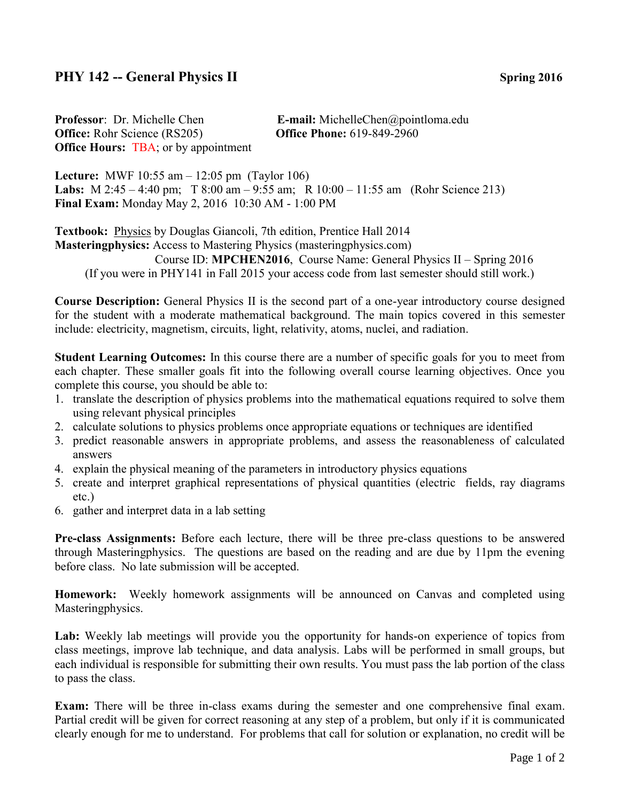## **PHY 142 -- General Physics II** Spring 2016

**Professor**: Dr. Michelle Chen **E-mail:** MichelleChen@pointloma.edu **Office:** Rohr Science (RS205) **Office Phone:** 619-849-2960 **Office Hours: TBA**; or by appointment

**Lecture:** MWF 10:55 am – 12:05 pm (Taylor 106) **Labs:** M 2:45 – 4:40 pm; T 8:00 am – 9:55 am; R 10:00 – 11:55 am (Rohr Science 213) **Final Exam:** Monday May 2, 2016 10:30 AM - 1:00 PM

Textbook: Physics by Douglas Giancoli, 7th edition, Prentice Hall 2014 **Masteringphysics:** Access to Mastering Physics (masteringphysics.com) Course ID: **MPCHEN2016**, Course Name: General Physics II – Spring 2016 (If you were in PHY141 in Fall 2015 your access code from last semester should still work.)

**Course Description:** General Physics II is the second part of a one-year introductory course designed for the student with a moderate mathematical background. The main topics covered in this semester include: electricity, magnetism, circuits, light, relativity, atoms, nuclei, and radiation.

**Student Learning Outcomes:** In this course there are a number of specific goals for you to meet from each chapter. These smaller goals fit into the following overall course learning objectives. Once you complete this course, you should be able to:

- 1. translate the description of physics problems into the mathematical equations required to solve them using relevant physical principles
- 2. calculate solutions to physics problems once appropriate equations or techniques are identified
- 3. predict reasonable answers in appropriate problems, and assess the reasonableness of calculated answers
- 4. explain the physical meaning of the parameters in introductory physics equations
- 5. create and interpret graphical representations of physical quantities (electric fields, ray diagrams etc.)
- 6. gather and interpret data in a lab setting

**Pre-class Assignments:** Before each lecture, there will be three pre-class questions to be answered through Masteringphysics. The questions are based on the reading and are due by 11pm the evening before class. No late submission will be accepted.

**Homework:** Weekly homework assignments will be announced on Canvas and completed using Masteringphysics.

Lab: Weekly lab meetings will provide you the opportunity for hands-on experience of topics from class meetings, improve lab technique, and data analysis. Labs will be performed in small groups, but each individual is responsible for submitting their own results. You must pass the lab portion of the class to pass the class.

**Exam:** There will be three in-class exams during the semester and one comprehensive final exam. Partial credit will be given for correct reasoning at any step of a problem, but only if it is communicated clearly enough for me to understand. For problems that call for solution or explanation, no credit will be